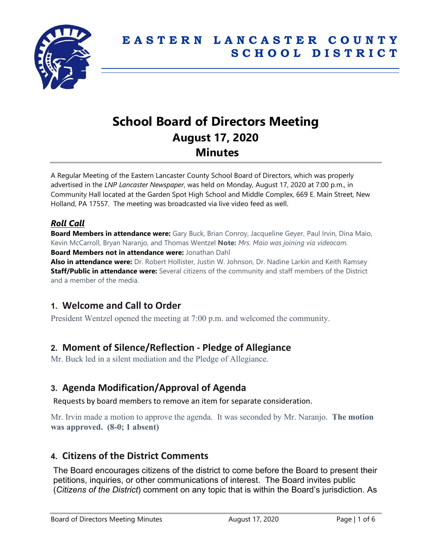

# **School Board of Directors Meeting August 17, 2020 Minutes**

A Regular Meeting of the Eastern Lancaster County School Board of Directors, which was properly advertised in the *LNP Lancaster Newspaper*, was held on Monday, August 17, 2020 at 7:00 p.m., in Community Hall located at the Garden Spot High School and Middle Complex, 669 E. Main Street, New Holland, PA 17557. The meeting was broadcasted via live video feed as well.

## *Roll Call*

**Board Members in attendance were:** Gary Buck, Brian Conroy, Jacqueline Geyer, Paul Irvin, Dina Maio, Kevin McCarroll, Bryan Naranjo, and Thomas Wentzel **Note:** *Mrs. Maio was joining via videocam.* **Board Members not in attendance were:** Jonathan Dahl

**Also in attendance were:** Dr. Robert Hollister, Justin W. Johnson, Dr. Nadine Larkin and Keith Ramsey **Staff/Public in attendance were:** Several citizens of the community and staff members of the District and a member of the media.

# **1. Welcome and Call to Order**

President Wentzel opened the meeting at 7:00 p.m. and welcomed the community.

## **2. Moment of Silence/Reflection - Pledge of Allegiance**

Mr. Buck led in a silent mediation and the Pledge of Allegiance.

# **3. Agenda Modification/Approval of Agenda**

Requests by board members to remove an item for separate consideration.

Mr. Irvin made a motion to approve the agenda. It was seconded by Mr. Naranjo. **The motion was approved. (8-0; 1 absent)**

## **4. Citizens of the District Comments**

The Board encourages citizens of the district to come before the Board to present their petitions, inquiries, or other communications of interest. The Board invites public (*Citizens of the District*) comment on any topic that is within the Board's jurisdiction. As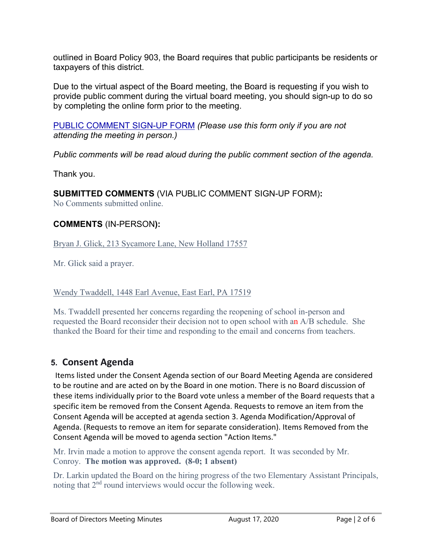outlined in Board Policy 903, the Board requires that public participants be residents or taxpayers of this district.

Due to the virtual aspect of the Board meeting, the Board is requesting if you wish to provide public comment during the virtual board meeting, you should sign-up to do so by completing the online form prior to the meeting.

[PUBLIC COMMENT SIGN-UP FORM](https://forms.gle/zDXXoX8rZQUxt1Ap6) *(Please use this form only if you are not attending the meeting in person.)*

*Public comments will be read aloud during the public comment section of the agenda.*

Thank you.

**SUBMITTED COMMENTS** (VIA PUBLIC COMMENT SIGN-UP FORM)**:** No Comments submitted online.

### **COMMENTS** (IN-PERSON**):**

Bryan J. Glick, 213 Sycamore Lane, New Holland 17557

Mr. Glick said a prayer.

#### Wendy Twaddell, 1448 Earl Avenue, East Earl, PA 17519

Ms. Twaddell presented her concerns regarding the reopening of school in-person and requested the Board reconsider their decision not to open school with an A/B schedule. She thanked the Board for their time and responding to the email and concerns from teachers.

## **5. Consent Agenda**

Items listed under the Consent Agenda section of our Board Meeting Agenda are considered to be routine and are acted on by the Board in one motion. There is no Board discussion of these items individually prior to the Board vote unless a member of the Board requests that a specific item be removed from the Consent Agenda. Requests to remove an item from the Consent Agenda will be accepted at agenda section 3. Agenda Modification/Approval of Agenda. (Requests to remove an item for separate consideration). Items Removed from the Consent Agenda will be moved to agenda section "Action Items."

Mr. Irvin made a motion to approve the consent agenda report. It was seconded by Mr. Conroy. **The motion was approved. (8-0; 1 absent)**

Dr. Larkin updated the Board on the hiring progress of the two Elementary Assistant Principals, noting that 2nd round interviews would occur the following week.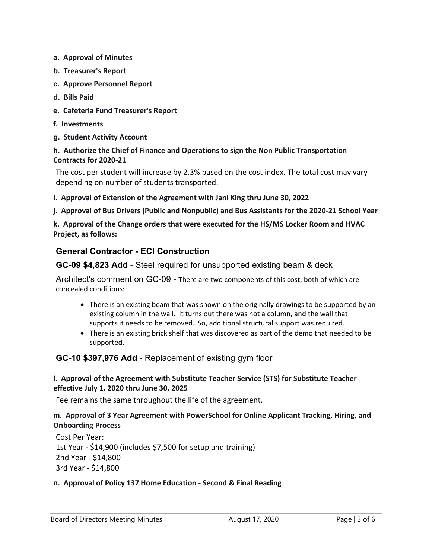- **a. Approval of Minutes**
- **b. Treasurer's Report**
- **c. Approve Personnel Report**
- **d. Bills Paid**
- **e. Cafeteria Fund Treasurer's Report**
- **f. Investments**
- **g. Student Activity Account**

#### **h. Authorize the Chief of Finance and Operations to sign the Non Public Transportation Contracts for 2020-21**

The cost per student will increase by 2.3% based on the cost index. The total cost may vary depending on number of students transported.

**i. Approval of Extension of the Agreement with Jani King thru June 30, 2022**

**j. Approval of Bus Drivers (Public and Nonpublic) and Bus Assistants for the 2020-21 School Year**

**k. Approval of the Change orders that were executed for the HS/MS Locker Room and HVAC Project, as follows:**

### **General Contractor - ECI Construction**

**GC-09 \$4,823 Add** - Steel required for unsupported existing beam & deck

Architect's comment on GC-09 - There are two components of this cost, both of which are concealed conditions:

- There is an existing beam that was shown on the originally drawings to be supported by an existing column in the wall. It turns out there was not a column, and the wall that supports it needs to be removed. So, additional structural support was required.
- There is an existing brick shelf that was discovered as part of the demo that needed to be supported.

#### **GC-10 \$397,976 Add** - Replacement of existing gym floor

#### **l. Approval of the Agreement with Substitute Teacher Service (STS) for Substitute Teacher effective July 1, 2020 thru June 30, 2025**

Fee remains the same throughout the life of the agreement.

#### **m. Approval of 3 Year Agreement with PowerSchool for Online Applicant Tracking, Hiring, and Onboarding Process**

Cost Per Year: 1st Year - \$14,900 (includes \$7,500 for setup and training) 2nd Year - \$14,800 3rd Year - \$14,800

#### **n. Approval of Policy 137 Home Education - Second & Final Reading**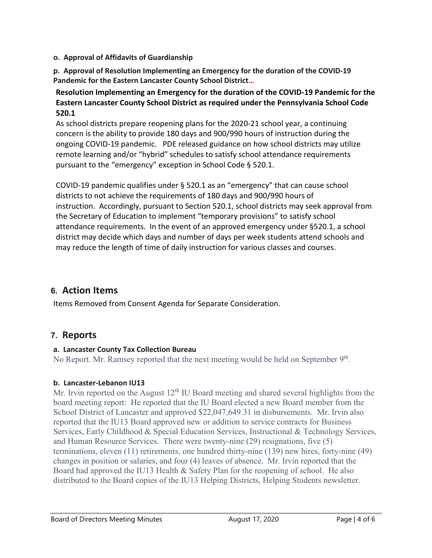#### **o. Approval of Affidavits of Guardianship**

**p. Approval of Resolution Implementing an Emergency for the duration of the COVID-19 Pandemic for the Eastern Lancaster County School District…**

#### **Resolution Implementing an Emergency for the duration of the COVID-19 Pandemic for the Eastern Lancaster County School District as required under the Pennsylvania School Code 520.1**

As school districts prepare reopening plans for the 2020-21 school year, a continuing concern is the ability to provide 180 days and 900/990 hours of instruction during the ongoing COVID-19 pandemic. PDE released guidance on how school districts may utilize remote learning and/or "hybrid" schedules to satisfy school attendance requirements pursuant to the "emergency" exception in School Code § 520.1.

COVID-19 pandemic qualifies under § 520.1 as an "emergency" that can cause school districts to not achieve the requirements of 180 days and 900/990 hours of instruction. Accordingly, pursuant to Section 520.1, school districts may seek approval from the Secretary of Education to implement "temporary provisions" to satisfy school attendance requirements. In the event of an approved emergency under §520.1, a school district may decide which days and number of days per week students attend schools and may reduce the length of time of daily instruction for various classes and courses.

# **6. Action Items**

Items Removed from Consent Agenda for Separate Consideration.

# **7. Reports**

### **a. Lancaster County Tax Collection Bureau**

No Report. Mr. Ramsey reported that the next meeting would be held on September 9<sup>th</sup>.

## **b. Lancaster-Lebanon IU13**

Mr. Irvin reported on the August  $12<sup>th</sup>$  IU Board meeting and shared several highlights from the board meeting report: He reported that the IU Board elected a new Board member from the School District of Lancaster and approved \$22,047,649.31 in disbursements. Mr. Irvin also reported that the IU13 Board approved new or addition to service contracts for Business Services, Early Childhood & Special Education Services, Instructional & Technology Services, and Human Resource Services. There were twenty-nine (29) resignations, five (5) terminations, eleven (11) retirements, one hundred thirty-nine (139) new hires, forty-nine (49) changes in position or salaries, and four (4) leaves of absence. Mr. Irvin reported that the Board had approved the IU13 Health & Safety Plan for the reopening of school. He also distributed to the Board copies of the IU13 Helping Districts, Helping Students newsletter.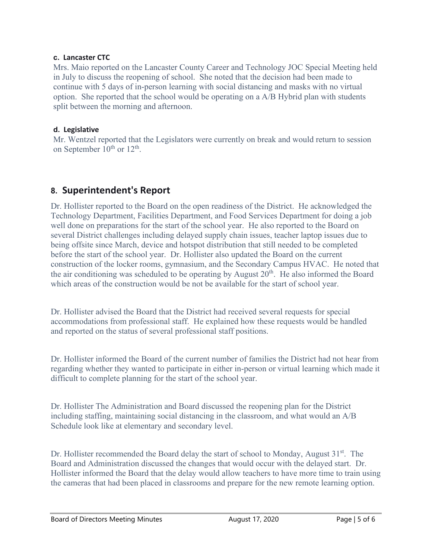#### **c. Lancaster CTC**

Mrs. Maio reported on the Lancaster County Career and Technology JOC Special Meeting held in July to discuss the reopening of school. She noted that the decision had been made to continue with 5 days of in-person learning with social distancing and masks with no virtual option. She reported that the school would be operating on a A/B Hybrid plan with students split between the morning and afternoon.

#### **d. Legislative**

Mr. Wentzel reported that the Legislators were currently on break and would return to session on September  $10^{th}$  or  $12^{th}$ .

# **8. Superintendent's Report**

Dr. Hollister reported to the Board on the open readiness of the District. He acknowledged the Technology Department, Facilities Department, and Food Services Department for doing a job well done on preparations for the start of the school year. He also reported to the Board on several District challenges including delayed supply chain issues, teacher laptop issues due to being offsite since March, device and hotspot distribution that still needed to be completed before the start of the school year. Dr. Hollister also updated the Board on the current construction of the locker rooms, gymnasium, and the Secondary Campus HVAC. He noted that the air conditioning was scheduled to be operating by August  $20<sup>th</sup>$ . He also informed the Board which areas of the construction would be not be available for the start of school year.

Dr. Hollister advised the Board that the District had received several requests for special accommodations from professional staff. He explained how these requests would be handled and reported on the status of several professional staff positions.

Dr. Hollister informed the Board of the current number of families the District had not hear from regarding whether they wanted to participate in either in-person or virtual learning which made it difficult to complete planning for the start of the school year.

Dr. Hollister The Administration and Board discussed the reopening plan for the District including staffing, maintaining social distancing in the classroom, and what would an A/B Schedule look like at elementary and secondary level.

Dr. Hollister recommended the Board delay the start of school to Monday, August  $31<sup>st</sup>$ . The Board and Administration discussed the changes that would occur with the delayed start. Dr. Hollister informed the Board that the delay would allow teachers to have more time to train using the cameras that had been placed in classrooms and prepare for the new remote learning option.